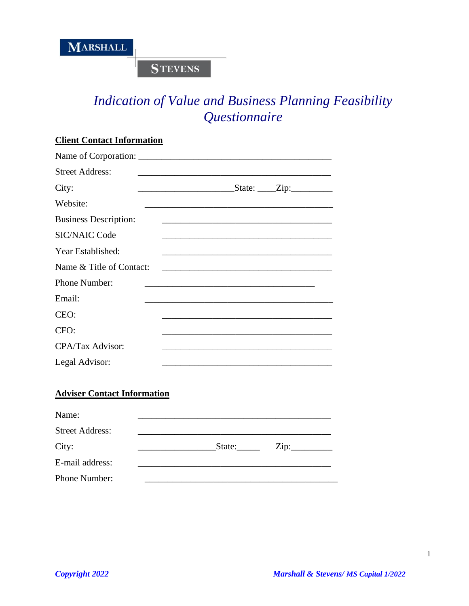**STEVENS** 

# *Indication of Value and Business Planning Feasibility Questionnaire*

| <b>Client Contact Information</b> |                                                                                                                       |  |
|-----------------------------------|-----------------------------------------------------------------------------------------------------------------------|--|
|                                   |                                                                                                                       |  |
| <b>Street Address:</b>            | and the control of the control of the control of the control of the control of the control of the control of the      |  |
| City:                             | $\text{State:} \_\text{zip:} \_\text{def}$                                                                            |  |
| Website:                          |                                                                                                                       |  |
| <b>Business Description:</b>      | <u> 1989 - Johann Harry Harry Harry Harry Harry Harry Harry Harry Harry Harry Harry Harry Harry Harry Harry Harry</u> |  |
| <b>SIC/NAIC Code</b>              |                                                                                                                       |  |
| Year Established:                 | and the control of the control of the control of the control of the control of the control of the control of the      |  |
| Name & Title of Contact:          |                                                                                                                       |  |
| Phone Number:                     |                                                                                                                       |  |
| Email:                            |                                                                                                                       |  |
| CEO:                              |                                                                                                                       |  |
| CFO:                              |                                                                                                                       |  |
| CPA/Tax Advisor:                  |                                                                                                                       |  |
| Legal Advisor:                    |                                                                                                                       |  |
|                                   |                                                                                                                       |  |

## **Adviser Contact Information**

| Name:                  |        |                            |
|------------------------|--------|----------------------------|
| <b>Street Address:</b> |        |                            |
| City:                  | State: | $\overline{\mathrm{Zip:}}$ |
| E-mail address:        |        |                            |
| Phone Number:          |        |                            |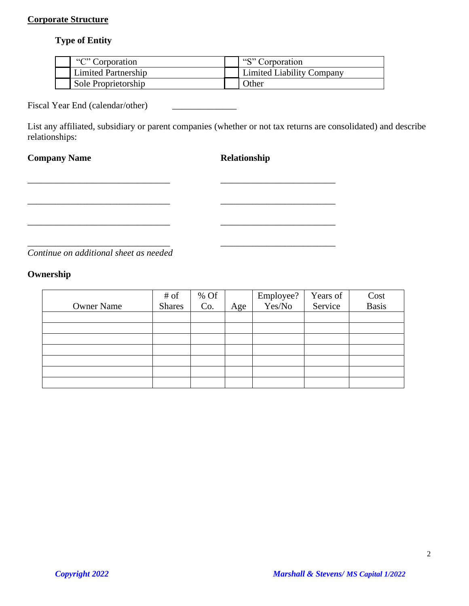## **Corporate Structure**

## **Type of Entity**

| "C" Corporation            | "S" Corporation                  |
|----------------------------|----------------------------------|
| <b>Limited Partnership</b> | <b>Limited Liability Company</b> |
| Sole Proprietorship        | <b>Other</b>                     |

Fiscal Year End (calendar/other)

List any affiliated, subsidiary or parent companies (whether or not tax returns are consolidated) and describe relationships:

\_\_\_\_\_\_\_\_\_\_\_\_\_\_\_\_\_\_\_\_\_\_\_\_\_\_\_\_\_\_\_ \_\_\_\_\_\_\_\_\_\_\_\_\_\_\_\_\_\_\_\_\_\_\_\_\_

\_\_\_\_\_\_\_\_\_\_\_\_\_\_\_\_\_\_\_\_\_\_\_\_\_\_\_\_\_\_\_ \_\_\_\_\_\_\_\_\_\_\_\_\_\_\_\_\_\_\_\_\_\_\_\_\_

\_\_\_\_\_\_\_\_\_\_\_\_\_\_\_\_\_\_\_\_\_\_\_\_\_\_\_\_\_\_\_ \_\_\_\_\_\_\_\_\_\_\_\_\_\_\_\_\_\_\_\_\_\_\_\_\_

\_\_\_\_\_\_\_\_\_\_\_\_\_\_\_\_\_\_\_\_\_\_\_\_\_\_\_\_\_\_\_ \_\_\_\_\_\_\_\_\_\_\_\_\_\_\_\_\_\_\_\_\_\_\_\_\_

## **Company Name Relationship**

*Continue on additional sheet as needed*

## **Ownership**

|                   | # of          | % Of<br>Co. |     | Employee?<br>Yes/No | Years of | Cost<br>Basis |
|-------------------|---------------|-------------|-----|---------------------|----------|---------------|
| <b>Owner Name</b> | <b>Shares</b> |             | Age |                     | Service  |               |
|                   |               |             |     |                     |          |               |
|                   |               |             |     |                     |          |               |
|                   |               |             |     |                     |          |               |
|                   |               |             |     |                     |          |               |
|                   |               |             |     |                     |          |               |
|                   |               |             |     |                     |          |               |
|                   |               |             |     |                     |          |               |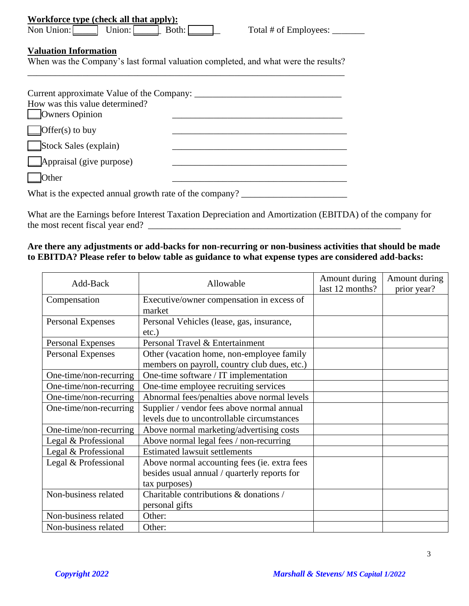| Workforce type (check all that apply): |        |       |  |  |
|----------------------------------------|--------|-------|--|--|
| Non Union:                             | Union: | Both: |  |  |

## **Valuation Information**

When was the Company's last formal valuation completed, and what were the results? \_\_\_\_\_\_\_\_\_\_\_\_\_\_\_\_\_\_\_\_\_\_\_\_\_\_\_\_\_\_\_\_\_\_\_\_\_\_\_\_\_\_\_\_\_\_\_\_\_\_\_\_\_\_\_\_\_\_\_\_\_\_\_\_\_\_\_\_\_

| Current approximate Value of the Company:<br>How was this value determined?<br><b>Owners Opinion</b> |  |
|------------------------------------------------------------------------------------------------------|--|
| $\text{Offer}(s)$ to buy                                                                             |  |
| Stock Sales (explain)                                                                                |  |
| $\Box$ Appraisal (give purpose)                                                                      |  |
| Other                                                                                                |  |
| What is the expected annual growth rate of the company?                                              |  |

What are the Earnings before Interest Taxation Depreciation and Amortization (EBITDA) of the company for the most recent fiscal year end? \_\_\_\_\_\_\_\_\_\_\_\_\_\_\_\_\_\_\_\_\_\_\_\_\_\_\_\_\_\_\_\_\_\_\_\_\_\_\_\_\_\_\_\_\_\_\_\_\_\_\_\_\_\_\_

## **Are there any adjustments or add-backs for non-recurring or non-business activities that should be made to EBITDA? Please refer to below table as guidance to what expense types are considered add-backs:**

| Add-Back                 | Allowable                                                                                 | Amount during<br>last 12 months? | Amount during<br>prior year? |
|--------------------------|-------------------------------------------------------------------------------------------|----------------------------------|------------------------------|
| Compensation             | Executive/owner compensation in excess of<br>market                                       |                                  |                              |
| <b>Personal Expenses</b> | Personal Vehicles (lease, gas, insurance,<br>$etc.$ )                                     |                                  |                              |
| Personal Expenses        | Personal Travel & Entertainment                                                           |                                  |                              |
| <b>Personal Expenses</b> | Other (vacation home, non-employee family<br>members on payroll, country club dues, etc.) |                                  |                              |
| One-time/non-recurring   | One-time software / IT implementation                                                     |                                  |                              |
| One-time/non-recurring   | One-time employee recruiting services                                                     |                                  |                              |
| One-time/non-recurring   | Abnormal fees/penalties above normal levels                                               |                                  |                              |
| One-time/non-recurring   | Supplier / vendor fees above normal annual                                                |                                  |                              |
|                          | levels due to uncontrollable circumstances                                                |                                  |                              |
| One-time/non-recurring   | Above normal marketing/advertising costs                                                  |                                  |                              |
| Legal & Professional     | Above normal legal fees / non-recurring                                                   |                                  |                              |
| Legal & Professional     | <b>Estimated lawsuit settlements</b>                                                      |                                  |                              |
| Legal & Professional     | Above normal accounting fees (ie. extra fees                                              |                                  |                              |
|                          | besides usual annual / quarterly reports for                                              |                                  |                              |
|                          | tax purposes)                                                                             |                                  |                              |
| Non-business related     | Charitable contributions & donations /                                                    |                                  |                              |
|                          | personal gifts                                                                            |                                  |                              |
| Non-business related     | Other:                                                                                    |                                  |                              |
| Non-business related     | Other:                                                                                    |                                  |                              |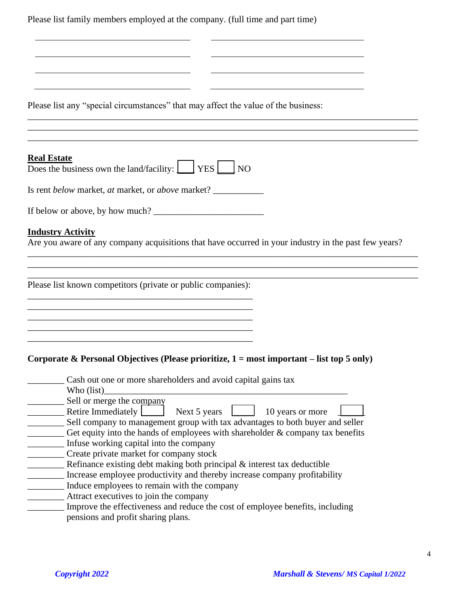Please list family members employed at the company. (full time and part time)

|  |  |  |  |  | Please list any "special circumstances" that may affect the value of the business: |  |
|--|--|--|--|--|------------------------------------------------------------------------------------|--|
|--|--|--|--|--|------------------------------------------------------------------------------------|--|

#### **Real Estate**

| <b>Real Estate</b>                                                                                  |  |  |
|-----------------------------------------------------------------------------------------------------|--|--|
| Does the business own the land/facility: $\boxed{\phantom{\cdot}}$ YES $\boxed{\phantom{\cdot}}$ NO |  |  |

Is rent *below* market, *at* market, or *above* market? \_\_\_\_\_\_\_\_\_\_\_

| If below or above, by how much? |  |
|---------------------------------|--|
|---------------------------------|--|

#### **Industry Activity**

Are you aware of any company acquisitions that have occurred in your industry in the past few years?

\_\_\_\_\_\_\_\_\_\_\_\_\_\_\_\_\_\_\_\_\_\_\_\_\_\_\_\_\_\_\_\_\_\_\_\_\_\_\_\_\_\_\_\_\_\_\_\_\_\_\_\_\_\_\_\_\_\_\_\_\_\_\_\_\_\_\_\_\_\_\_\_\_\_\_\_\_\_\_\_\_\_\_\_\_ \_\_\_\_\_\_\_\_\_\_\_\_\_\_\_\_\_\_\_\_\_\_\_\_\_\_\_\_\_\_\_\_\_\_\_\_\_\_\_\_\_\_\_\_\_\_\_\_\_\_\_\_\_\_\_\_\_\_\_\_\_\_\_\_\_\_\_\_\_\_\_\_\_\_\_\_\_\_\_\_\_\_\_\_\_

\_\_\_\_\_\_\_\_\_\_\_\_\_\_\_\_\_\_\_\_\_\_\_\_\_\_\_\_\_\_\_\_\_\_\_\_\_\_\_\_\_\_\_\_\_\_\_\_\_\_\_\_\_\_\_\_\_\_\_\_\_\_\_\_\_\_\_\_\_\_\_\_\_\_\_\_\_\_\_\_\_\_\_\_\_ \_\_\_\_\_\_\_\_\_\_\_\_\_\_\_\_\_\_\_\_\_\_\_\_\_\_\_\_\_\_\_\_\_\_\_\_\_\_\_\_\_\_\_\_\_\_\_\_\_\_\_\_\_\_\_\_\_\_\_\_\_\_\_\_\_\_\_\_\_\_\_\_\_\_\_\_\_\_\_\_\_\_\_\_\_

 $\mathcal{L}_\mathcal{L} = \{ \mathcal{L}_\mathcal{L} = \{ \mathcal{L}_\mathcal{L} = \{ \mathcal{L}_\mathcal{L} = \{ \mathcal{L}_\mathcal{L} = \{ \mathcal{L}_\mathcal{L} = \{ \mathcal{L}_\mathcal{L} = \{ \mathcal{L}_\mathcal{L} = \{ \mathcal{L}_\mathcal{L} = \{ \mathcal{L}_\mathcal{L} = \{ \mathcal{L}_\mathcal{L} = \{ \mathcal{L}_\mathcal{L} = \{ \mathcal{L}_\mathcal{L} = \{ \mathcal{L}_\mathcal{L} = \{ \mathcal{L}_\mathcal{$ 

Please list known competitors (private or public companies): \_\_\_\_\_\_\_\_\_\_\_\_\_\_\_\_\_\_\_\_\_\_\_\_\_\_\_\_\_\_\_\_\_\_\_\_\_\_\_\_\_\_\_\_\_\_\_\_\_

\_\_\_\_\_\_\_\_\_\_\_\_\_\_\_\_\_\_\_\_\_\_\_\_\_\_\_\_\_\_\_\_\_\_\_\_\_\_\_\_\_\_\_\_\_\_\_\_\_

 $\mathcal{L}_\text{max} = \mathcal{L}_\text{max} = \mathcal{L}_\text{max} = \mathcal{L}_\text{max} = \mathcal{L}_\text{max} = \mathcal{L}_\text{max} = \mathcal{L}_\text{max} = \mathcal{L}_\text{max} = \mathcal{L}_\text{max} = \mathcal{L}_\text{max} = \mathcal{L}_\text{max} = \mathcal{L}_\text{max} = \mathcal{L}_\text{max} = \mathcal{L}_\text{max} = \mathcal{L}_\text{max} = \mathcal{L}_\text{max} = \mathcal{L}_\text{max} = \mathcal{L}_\text{max} = \mathcal{$ 

\_\_\_\_\_\_\_\_\_\_\_\_\_\_\_\_\_\_\_\_\_\_\_\_\_\_\_\_\_\_\_\_\_\_\_\_\_\_\_\_\_\_\_\_\_\_\_\_\_

### **Corporate & Personal Objectives (Please prioritize, 1 = most important – list top 5 only)**

| Cash out one or more shareholders and avoid capital gains tax                    |
|----------------------------------------------------------------------------------|
| Who (list)                                                                       |
| Sell or merge the company                                                        |
| Retire Immediately<br>Next 5 years<br>10 years or more                           |
| Sell company to management group with tax advantages to both buyer and seller    |
| Get equity into the hands of employees with shareholder $&$ company tax benefits |
| Infuse working capital into the company                                          |
| Create private market for company stock                                          |
| Refinance existing debt making both principal & interest tax deductible          |
| Increase employee productivity and thereby increase company profitability        |
| Induce employees to remain with the company                                      |
| Attract executives to join the company                                           |
| Improve the effectiveness and reduce the cost of employee benefits, including    |
| pensions and profit sharing plans.                                               |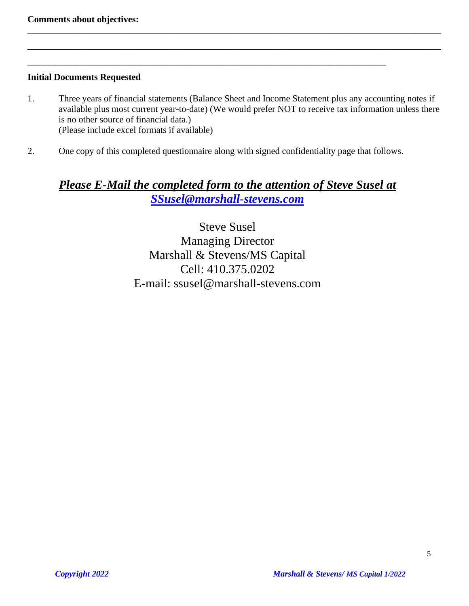## **Initial Documents Requested**

1. Three years of financial statements (Balance Sheet and Income Statement plus any accounting notes if available plus most current year-to-date) (We would prefer NOT to receive tax information unless there is no other source of financial data.) (Please include excel formats if available)

\_\_\_\_\_\_\_\_\_\_\_\_\_\_\_\_\_\_\_\_\_\_\_\_\_\_\_\_\_\_\_\_\_\_\_\_\_\_\_\_\_\_\_\_\_\_\_\_\_\_\_\_\_\_\_\_\_\_\_\_\_\_\_\_\_\_\_\_\_\_\_\_\_\_\_\_\_\_\_\_\_\_\_\_\_\_\_\_\_\_

\_\_\_\_\_\_\_\_\_\_\_\_\_\_\_\_\_\_\_\_\_\_\_\_\_\_\_\_\_\_\_\_\_\_\_\_\_\_\_\_\_\_\_\_\_\_\_\_\_\_\_\_\_\_\_\_\_\_\_\_\_\_\_\_\_\_\_\_\_\_\_\_\_\_\_\_\_\_\_\_\_\_\_\_\_\_\_\_\_\_

2. One copy of this completed questionnaire along with signed confidentiality page that follows.

\_\_\_\_\_\_\_\_\_\_\_\_\_\_\_\_\_\_\_\_\_\_\_\_\_\_\_\_\_\_\_\_\_\_\_\_\_\_\_\_\_\_\_\_\_\_\_\_\_\_\_\_\_\_\_\_\_\_\_\_\_\_\_\_\_\_\_\_\_\_\_\_\_\_\_\_\_\_

## *Please E-Mail the completed form to the attention of Steve Susel at [SSusel@marshall-stevens.com](mailto:SSusel@marshall-stevens.com)*

Steve Susel Managing Director Marshall & Stevens/MS Capital Cell: 410.375.0202 E-mail: ssusel@marshall-stevens.com